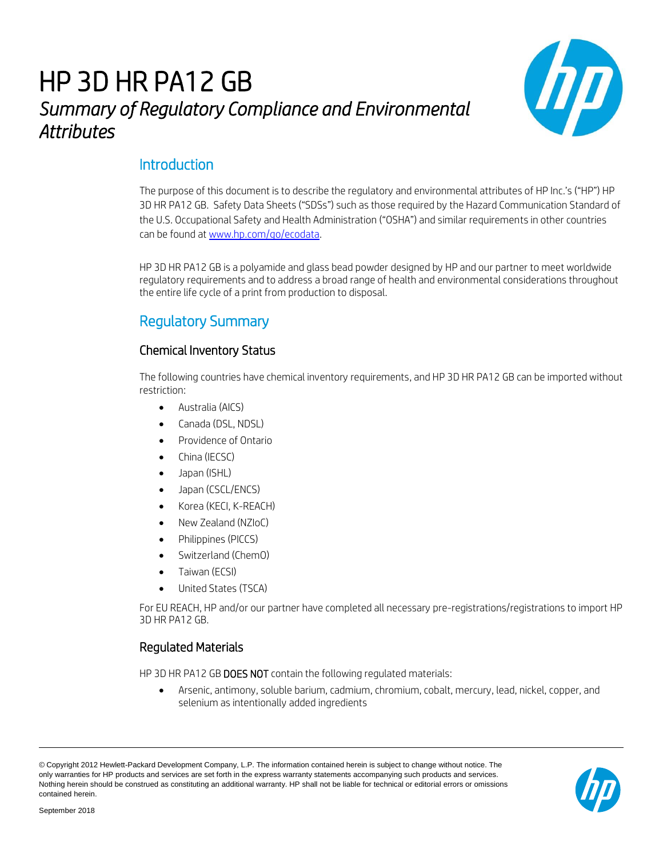# HP 3D HR PA12 GB *Summary of Regulatory Compliance and Environmental Attributes*



# **Introduction**

The purpose of this document is to describe the regulatory and environmental attributes of HP Inc.'s ("HP") HP 3D HR PA12 GB. Safety Data Sheets ("SDSs") such as those required by the Hazard Communication Standard of the U.S. Occupational Safety and Health Administration ("OSHA") and similar requirements in other countries can be found at [www.hp.com/go/ecodata.](http://www.hp.com/go/ecodata) 

HP 3D HR PA12 GB is a polyamide and glass bead powder designed by HP and our partner to meet worldwide regulatory requirements and to address a broad range of health and environmental considerations throughout the entire life cycle of a print from production to disposal.

# Regulatory Summary

### Chemical Inventory Status

The following countries have chemical inventory requirements, and HP 3D HR PA12 GB can be imported without restriction:

- Australia (AICS)
- Canada (DSL, NDSL)
- Providence of Ontario
- China (IECSC)
- Japan (ISHL)
- Japan (CSCL/ENCS)
- Korea (KECI, K-REACH)
- New Zealand (NZIoC)
- Philippines (PICCS)
- Switzerland (ChemO)
- Taiwan (ECSI)
- United States (TSCA)

For EU REACH, HP and/or our partner have completed all necessary pre-registrations/registrations to import HP 3D HR PA12 GB.

### Regulated Materials

HP 3D HR PA12 GB DOES NOT contain the following regulated materials:

• Arsenic, antimony, soluble barium, cadmium, chromium, cobalt, mercury, lead, nickel, copper, and selenium as intentionally added ingredients



<sup>©</sup> Copyright 2012 Hewlett-Packard Development Company, L.P. The information contained herein is subject to change without notice. The only warranties for HP products and services are set forth in the express warranty statements accompanying such products and services. Nothing herein should be construed as constituting an additional warranty. HP shall not be liable for technical or editorial errors or omissions contained herein.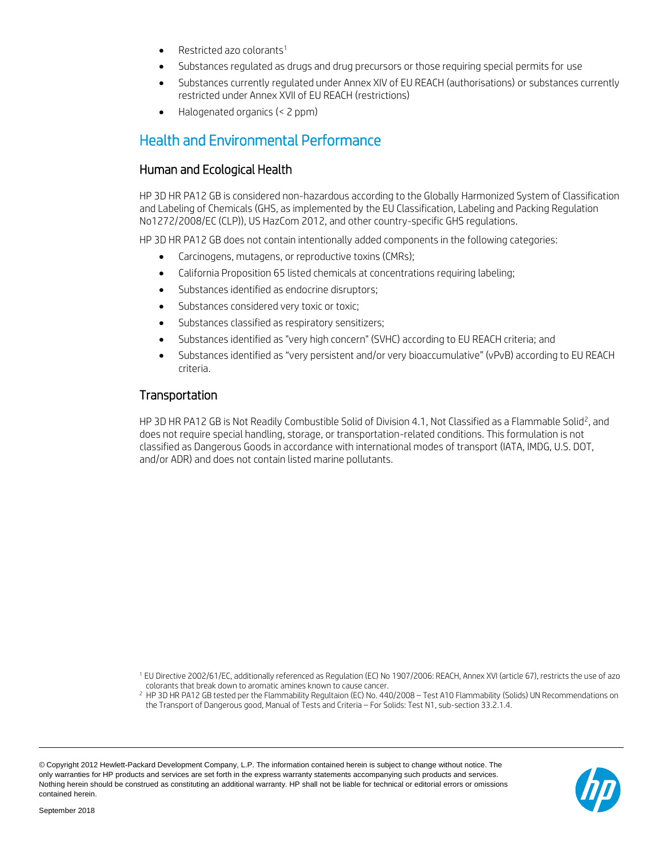- Restricted azo colorants<sup>1</sup>
- Substances regulated as drugs and drug precursors or those requiring special permits for use
- Substances currently regulated under Annex XIV of EU REACH (authorisations) or substances currently restricted under Annex XVII of EU REACH (restrictions)
- Halogenated organics (< 2 ppm)

### Health and Environmental Performance

### Human and Ecological Health

HP 3D HR PA12 GB is considered non-hazardous according to the Globally Harmonized System of Classification and Labeling of Chemicals (GHS, as implemented by the EU Classification, Labeling and Packing Regulation No1272/2008/EC (CLP)), US HazCom 2012, and other country-specific GHS regulations.

HP 3D HR PA12 GB does not contain intentionally added components in the following categories:

- Carcinogens, mutagens, or reproductive toxins (CMRs);
- California Proposition 65 listed chemicals at concentrations requiring labeling;
- Substances identified as endocrine disruptors;
- Substances considered very toxic or toxic;
- Substances classified as respiratory sensitizers;
- Substances identified as "very high concern" (SVHC) according to EU REACH criteria; and
- Substances identified as "very persistent and/or very bioaccumulative" (vPvB) according to EU REACH criteria.

### **Transportation**

HP 3D HR PA12 GB is Not Readily Combustible Solid of Division 4.1, Not Classified as a Flammable Solid<sup>2</sup>, and does not require special handling, storage, or transportation-related conditions. This formulation is not classified as Dangerous Goods in accordance with international modes of transport (IATA, IMDG, U.S. DOT, and/or ADR) and does not contain listed marine pollutants.

<sup>1</sup> EU Directive 2002/61/EC, additionally referenced as Regulation (EC) No 1907/2006: REACH, Annex XVI (article 67), restricts the use of azo colorants that break down to aromatic amines known to cause cancer.

<sup>2</sup> HP 3D HR PA12 GB tested per the Flammability Regultaion (EC) No. 440/2008 – Test A10 Flammability (Solids) UN Recommendations on the Transport of Dangerous good, Manual of Tests and Criteria – For Solids: Test N1, sub-section 33.2.1.4.

© Copyright 2012 Hewlett-Packard Development Company, L.P. The information contained herein is subject to change without notice. The only warranties for HP products and services are set forth in the express warranty statements accompanying such products and services. Nothing herein should be construed as constituting an additional warranty. HP shall not be liable for technical or editorial errors or omissions contained herein.

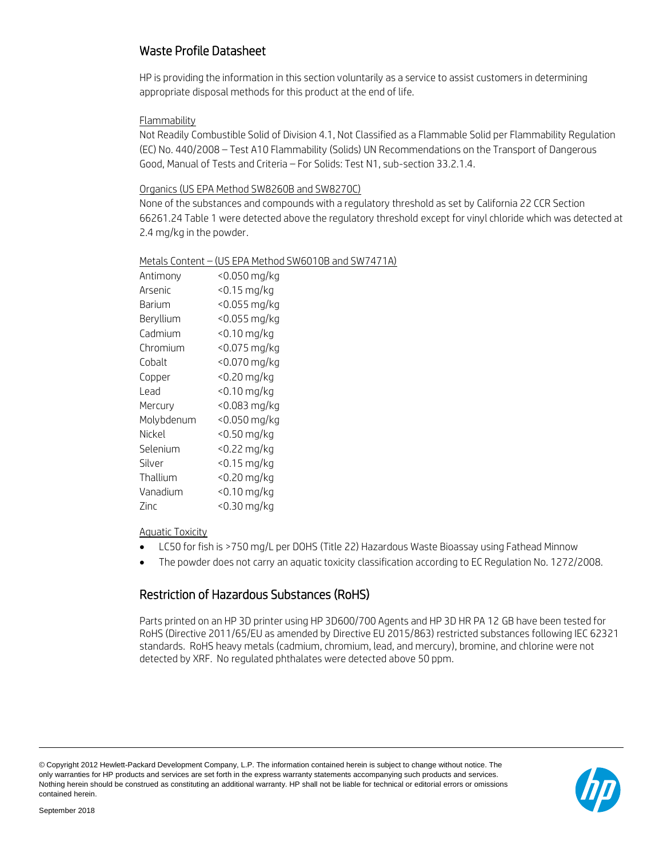### Waste Profile Datasheet

HP is providing the information in this section voluntarily as a service to assist customers in determining appropriate disposal methods for this product at the end of life.

#### Flammability

Not Readily Combustible Solid of Division 4.1, Not Classified as a Flammable Solid per Flammability Regulation (EC) No. 440/2008 – Test A10 Flammability (Solids) UN Recommendations on the Transport of Dangerous Good, Manual of Tests and Criteria – For Solids: Test N1, sub-section 33.2.1.4.

#### Organics (US EPA Method SW8260B and SW8270C)

None of the substances and compounds with a regulatory threshold as set by California 22 CCR Section 66261.24 Table 1 were detected above the regulatory threshold except for vinyl chloride which was detected at 2.4 mg/kg in the powder.

#### Metals Content – (US EPA Method SW6010B and SW7471A)

| Antimony   | <0.050 mg/kg   |
|------------|----------------|
| Arsenic    | <0.15 mg/kg    |
| Barium     | <0.055 mg/ka   |
| Beryllium  | <0.055 mg/kg   |
| Cadmium    | <0.10 mg/kg    |
| Chromium   | <0.075 mg/kg   |
| Cobalt     | <0.070 mg/kg   |
| Copper     | $<$ 0.20 mg/kg |
| Lead       | <0.10 mg/kg    |
| Mercury    | <0.083 mg/kg   |
| Molybdenum | <0.050 mg/kg   |
| Nickel     | $<$ 0.50 mg/kg |
| Selenium   | <0.22 mg/kg    |
| Silver     | <0.15 mg/kg    |
| Thallium   | <0.20 mg/kg    |
| Vanadium   | <0.10 mg/kg    |
| Zinc       | $<$ 0.30 mg/kg |

#### Aquatic Toxicity

- LC50 for fish is >750 mg/L per DOHS (Title 22) Hazardous Waste Bioassay using Fathead Minnow
- The powder does not carry an aquatic toxicity classification according to EC Regulation No. 1272/2008.

### Restriction of Hazardous Substances (RoHS)

Parts printed on an HP 3D printer using HP 3D600/700 Agents and HP 3D HR PA 12 GB have been tested for RoHS (Directive 2011/65/EU as amended by Directive EU 2015/863) restricted substances following IEC 62321 standards. RoHS heavy metals (cadmium, chromium, lead, and mercury), bromine, and chlorine were not detected by XRF. No regulated phthalates were detected above 50 ppm.

© Copyright 2012 Hewlett-Packard Development Company, L.P. The information contained herein is subject to change without notice. The only warranties for HP products and services are set forth in the express warranty statements accompanying such products and services. Nothing herein should be construed as constituting an additional warranty. HP shall not be liable for technical or editorial errors or omissions contained herein.

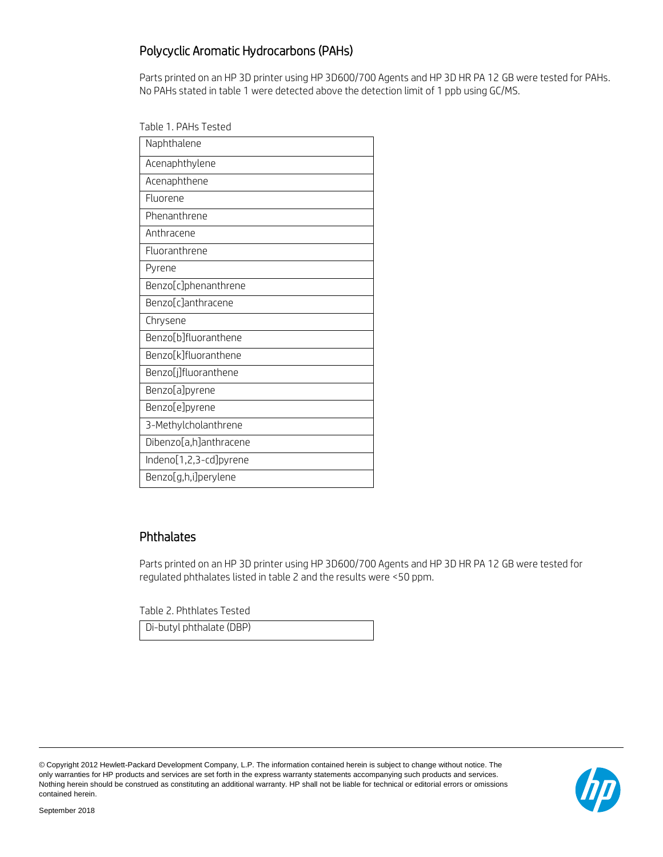### Polycyclic Aromatic Hydrocarbons (PAHs)

Parts printed on an HP 3D printer using HP 3D600/700 Agents and HP 3D HR PA 12 GB were tested for PAHs. No PAHs stated in table 1 were detected above the detection limit of 1 ppb using GC/MS.

Table 1. PAHs Tested

| Naphthalene            |
|------------------------|
| Acenaphthylene         |
| Acenaphthene           |
| Fluorene               |
| Phenanthrene           |
| Anthracene             |
| Fluoranthrene          |
| Pyrene                 |
| Benzo[c]phenanthrene   |
| Benzo[c]anthracene     |
| Chrysene               |
| Benzo[b]fluoranthene   |
| Benzo[k]fluoranthene   |
| Benzo[j]fluoranthene   |
| Benzo[a]pyrene         |
| Benzo[e]pyrene         |
| 3-Methylcholanthrene   |
| Dibenzo[a,h]anthracene |
| Indeno[1,2,3-cd]pyrene |
| Benzo[g,h,i]perylene   |

### **Phthalates**

Parts printed on an HP 3D printer using HP 3D600/700 Agents and HP 3D HR PA 12 GB were tested for regulated phthalates listed in table 2 and the results were <50 ppm.

Table 2. Phthlates Tested

Di-butyl phthalate (DBP)



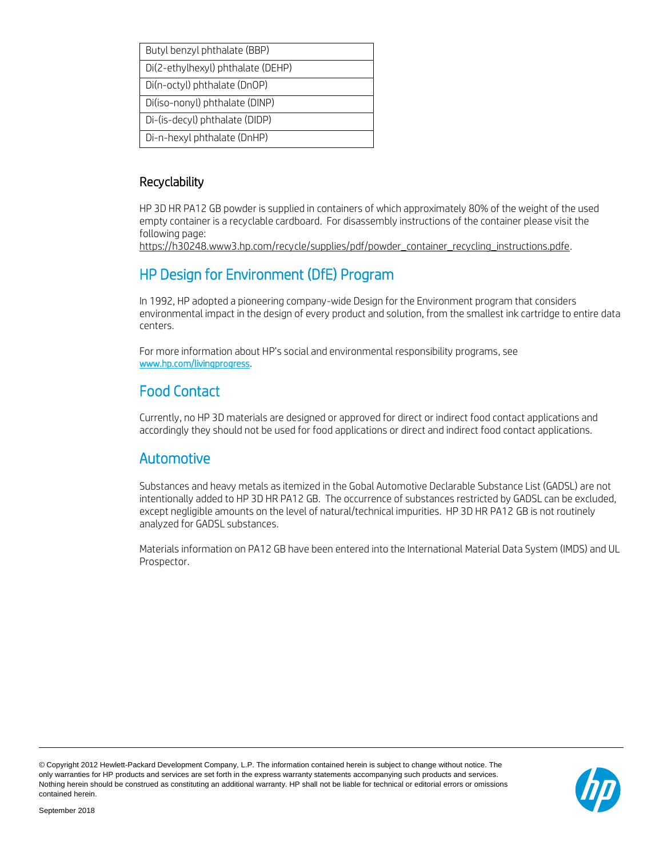| Butyl benzyl phthalate (BBP)      |  |
|-----------------------------------|--|
| Di(2-ethylhexyl) phthalate (DEHP) |  |
| Di(n-octyl) phthalate (DnOP)      |  |
| Di(iso-nonyl) phthalate (DINP)    |  |
| Di-(is-decyl) phthalate (DIDP)    |  |
| Di-n-hexyl phthalate (DnHP)       |  |

### **Recyclability**

HP 3D HR PA12 GB powder is supplied in containers of which approximately 80% of the weight of the used empty container is a recyclable cardboard. For disassembly instructions of the container please visit the following page:

[https://h30248.www3.hp.com/recycle/supplies/pdf/powder\\_container\\_recycling\\_instructions.pdfe.](https://h30248.www3.hp.com/recycle/supplies/pdf/powder_container_recycling_instructions.pdfe)

# HP Design for Environment (DfE) Program

In 1992, HP adopted a pioneering company-wide Design for the Environment program that considers environmental impact in the design of every product and solution, from the smallest ink cartridge to entire data centers.

For more information about HP's social and environmental responsibility programs, see [www.hp.com/livingprogress.](http://www.hp.com/livingprogress) 

# Food Contact

Currently, no HP 3D materials are designed or approved for direct or indirect food contact applications and accordingly they should not be used for food applications or direct and indirect food contact applications.

## Automotive

Substances and heavy metals as itemized in the Gobal Automotive Declarable Substance List (GADSL) are not intentionally added to HP 3D HR PA12 GB. The occurrence of substances restricted by GADSL can be excluded, except negligible amounts on the level of natural/technical impurities. HP 3D HR PA12 GB is not routinely analyzed for GADSL substances.

Materials information on PA12 GB have been entered into the International Material Data System (IMDS) and UL Prospector.



<sup>©</sup> Copyright 2012 Hewlett-Packard Development Company, L.P. The information contained herein is subject to change without notice. The only warranties for HP products and services are set forth in the express warranty statements accompanying such products and services. Nothing herein should be construed as constituting an additional warranty. HP shall not be liable for technical or editorial errors or omissions contained herein.